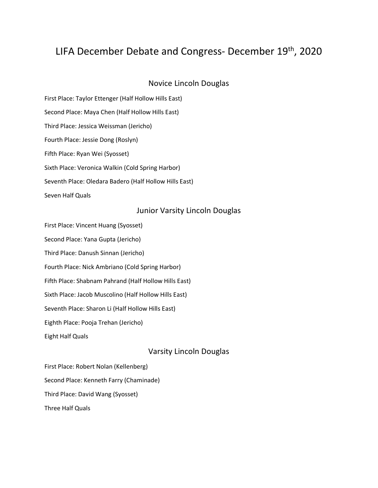# LIFA December Debate and Congress- December 19th, 2020

# Novice Lincoln Douglas

First Place: Taylor Ettenger (Half Hollow Hills East) Second Place: Maya Chen (Half Hollow Hills East) Third Place: Jessica Weissman (Jericho) Fourth Place: Jessie Dong (Roslyn) Fifth Place: Ryan Wei (Syosset) Sixth Place: Veronica Walkin (Cold Spring Harbor) Seventh Place: Oledara Badero (Half Hollow Hills East) Seven Half Quals

#### Junior Varsity Lincoln Douglas

First Place: Vincent Huang (Syosset)

Second Place: Yana Gupta (Jericho)

Third Place: Danush Sinnan (Jericho)

Fourth Place: Nick Ambriano (Cold Spring Harbor)

Fifth Place: Shabnam Pahrand (Half Hollow Hills East)

Sixth Place: Jacob Muscolino (Half Hollow Hills East)

Seventh Place: Sharon Li (Half Hollow Hills East)

Eighth Place: Pooja Trehan (Jericho)

Eight Half Quals

# Varsity Lincoln Douglas

First Place: Robert Nolan (Kellenberg) Second Place: Kenneth Farry (Chaminade) Third Place: David Wang (Syosset) Three Half Quals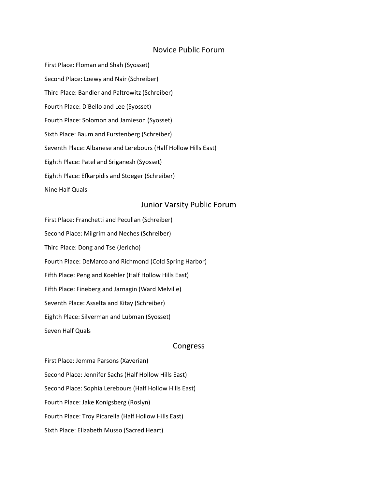#### Novice Public Forum

First Place: Floman and Shah (Syosset) Second Place: Loewy and Nair (Schreiber) Third Place: Bandler and Paltrowitz (Schreiber) Fourth Place: DiBello and Lee (Syosset) Fourth Place: Solomon and Jamieson (Syosset) Sixth Place: Baum and Furstenberg (Schreiber) Seventh Place: Albanese and Lerebours (Half Hollow Hills East) Eighth Place: Patel and Sriganesh (Syosset) Eighth Place: Efkarpidis and Stoeger (Schreiber) Nine Half Quals

### Junior Varsity Public Forum

First Place: Franchetti and Pecullan (Schreiber) Second Place: Milgrim and Neches (Schreiber) Third Place: Dong and Tse (Jericho) Fourth Place: DeMarco and Richmond (Cold Spring Harbor) Fifth Place: Peng and Koehler (Half Hollow Hills East) Fifth Place: Fineberg and Jarnagin (Ward Melville) Seventh Place: Asselta and Kitay (Schreiber) Eighth Place: Silverman and Lubman (Syosset) Seven Half Quals

#### Congress

First Place: Jemma Parsons (Xaverian) Second Place: Jennifer Sachs (Half Hollow Hills East) Second Place: Sophia Lerebours (Half Hollow Hills East) Fourth Place: Jake Konigsberg (Roslyn) Fourth Place: Troy Picarella (Half Hollow Hills East) Sixth Place: Elizabeth Musso (Sacred Heart)